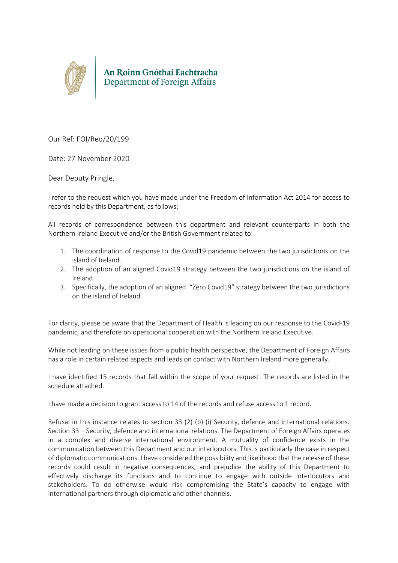

Our Ref: FOI/Req/20/199

Date: 27 November 2020

Dear Deputy Pringle,

I refer to the request which you have made under the Freedom of Information Act 2014 for access to records held by this Department, as follows:

All records of correspondence between this department and relevant counterparts in both the Northern Ireland Executive and/or the British Government related to:

- 1. The coordination of response to the Covid19 pandemic between the two jurisdictions on the island of Ireland.
- 2. The adoption of an aligned Covid19 strategy between the two jurisdictions on the island of Ireland.
- 3. Specifically, the adoption of an aligned "Zero Covid19" strategy between the two jurisdictions on the island of Ireland.

For clarity, please be aware that the Department of Health is leading on our response to the Covid-19 pandemic, and therefore on operational cooperation with the Northern Ireland Executive.

While not leading on these issues from a public health perspective, the Department of Foreign Affairs has a role in certain related aspects and leads on contact with Northern Ireland more generally.

I have identified 15 records that fall within the scope of your request. The records are listed in the schedule attached.

I have made a decision to grant access to 14 of the records and refuse access to 1 record.

Refusal in this instance relates to section 33 (2) (b) (i) Security, defence and international relations. Section 33 – Security, defence and international relations. The Department of Foreign Affairs operates in a complex and diverse international environment. A mutuality of confidence exists in the communication between this Department and our interlocutors. This is particularly the case in respect of diplomatic communications. I have considered the possibility and likelihood that the release of these records could result in negative consequences, and prejudice the ability of this Department to effectively discharge its functions and to continue to engage with outside interlocutors and stakeholders. To do otherwise would risk compromising the State's capacity to engage with international partners through diplomatic and other channels.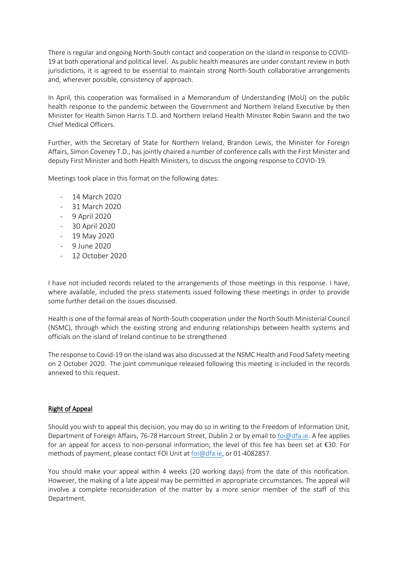There is regular and ongoing North-South contact and cooperation on the island in response to COVID-19 at both operational and political level. As public health measures are under constant review in both jurisdictions, it is agreed to be essential to maintain strong North-South collaborative arrangements and, wherever possible, consistency of approach.

In April, this cooperation was formalised in a Memorandum of Understanding (MoU) on the public health response to the pandemic between the Government and Northern Ireland Executive by then Minister for Health Simon Harris T.D. and Northern Ireland Health Minister Robin Swann and the two Chief Medical Officers.

Further, with the Secretary of State for Northern Ireland, Brandon Lewis, the Minister for Foreign Affairs, Simon Coveney T.D., has jointly chaired a number of conference calls with the First Minister and deputy First Minister and both Health Ministers, to discuss the ongoing response to COVID-19.

Meetings took place in this format on the following dates:

- 14 March 2020
- 31 March 2020
- 9 April 2020
- 30 April 2020
- 19 May 2020
- 9 June 2020
- 12 October 2020

I have not included records related to the arrangements of those meetings in this response. I have, where available, included the press statements issued following these meetings in order to provide some further detail on the issues discussed.

Health is one of the formal areas of North-South cooperation under the North South Ministerial Council (NSMC), through which the existing strong and enduring relationships between health systems and officials on the island of Ireland continue to be strengthened

The response to Covid-19 on the island was also discussed at the NSMC Health and Food Safety meeting on 2 October 2020. The joint communique released following this meeting is included in the records annexed to this request.

## Right of Appeal

Should you wish to appeal this decision, you may do so in writing to the Freedom of Information Unit, Department of Foreign Affairs, 76-78 Harcourt Street, Dublin 2 or by email to [foi@dfa.ie.](mailto:foi@dfa.ie) A fee applies for an appeal for access to non-personal information; the level of this fee has been set at €30. For methods of payment, please contact FOI Unit at [foi@dfa.ie,](mailto:foi@dfa.ie) or 01-4082857.

You should make your appeal within 4 weeks (20 working days) from the date of this notification. However, the making of a late appeal may be permitted in appropriate circumstances. The appeal will involve a complete reconsideration of the matter by a more senior member of the staff of this Department.